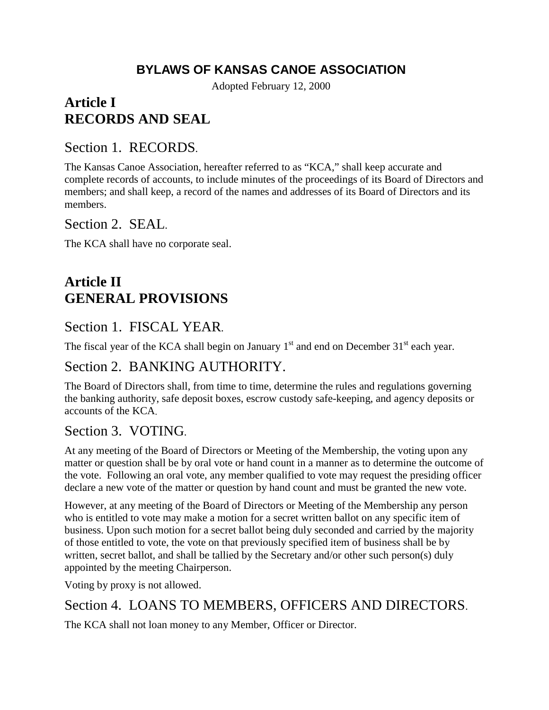## **BYLAWS OF KANSAS CANOE ASSOCIATION**

Adopted February 12, 2000

# **Article I RECORDS AND SEAL**

#### Section 1. RECORDS.

The Kansas Canoe Association, hereafter referred to as "KCA," shall keep accurate and complete records of accounts, to include minutes of the proceedings of its Board of Directors and members; and shall keep, a record of the names and addresses of its Board of Directors and its members.

Section 2. SEAL.

The KCA shall have no corporate seal.

# **Article II GENERAL PROVISIONS**

### Section 1. FISCAL YEAR.

The fiscal year of the KCA shall begin on January  $1<sup>st</sup>$  and end on December 31 $<sup>st</sup>$  each year.</sup>

### Section 2. BANKING AUTHORITY.

The Board of Directors shall, from time to time, determine the rules and regulations governing the banking authority, safe deposit boxes, escrow custody safe-keeping, and agency deposits or accounts of the KCA.

#### Section 3. VOTING.

At any meeting of the Board of Directors or Meeting of the Membership, the voting upon any matter or question shall be by oral vote or hand count in a manner as to determine the outcome of the vote. Following an oral vote, any member qualified to vote may request the presiding officer declare a new vote of the matter or question by hand count and must be granted the new vote.

However, at any meeting of the Board of Directors or Meeting of the Membership any person who is entitled to vote may make a motion for a secret written ballot on any specific item of business. Upon such motion for a secret ballot being duly seconded and carried by the majority of those entitled to vote, the vote on that previously specified item of business shall be by written, secret ballot, and shall be tallied by the Secretary and/or other such person(s) duly appointed by the meeting Chairperson.

Voting by proxy is not allowed.

### Section 4. LOANS TO MEMBERS, OFFICERS AND DIRECTORS.

The KCA shall not loan money to any Member, Officer or Director.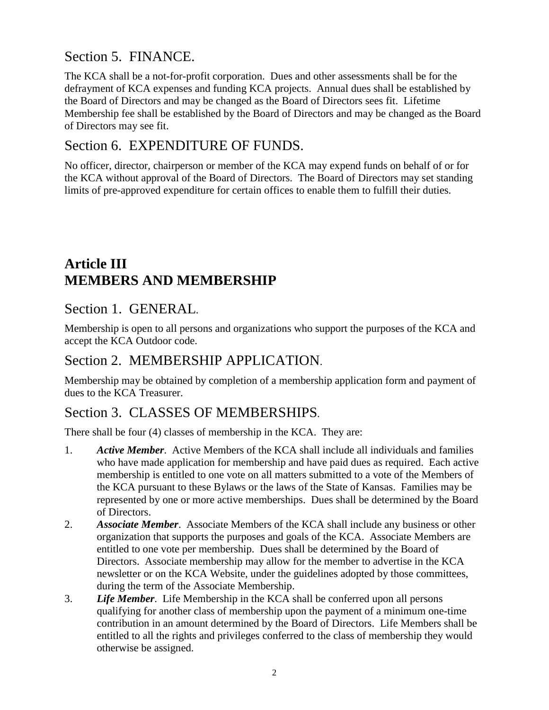## Section 5. FINANCE.

The KCA shall be a not-for-profit corporation. Dues and other assessments shall be for the defrayment of KCA expenses and funding KCA projects. Annual dues shall be established by the Board of Directors and may be changed as the Board of Directors sees fit. Lifetime Membership fee shall be established by the Board of Directors and may be changed as the Board of Directors may see fit.

### Section 6. EXPENDITURE OF FUNDS.

No officer, director, chairperson or member of the KCA may expend funds on behalf of or for the KCA without approval of the Board of Directors. The Board of Directors may set standing limits of pre-approved expenditure for certain offices to enable them to fulfill their duties.

# **Article III MEMBERS AND MEMBERSHIP**

### Section 1. GENERAL.

Membership is open to all persons and organizations who support the purposes of the KCA and accept the KCA Outdoor code.

## Section 2. MEMBERSHIP APPLICATION.

Membership may be obtained by completion of a membership application form and payment of dues to the KCA Treasurer.

## Section 3. CLASSES OF MEMBERSHIPS.

There shall be four (4) classes of membership in the KCA. They are:

- 1. *Active Member*. Active Members of the KCA shall include all individuals and families who have made application for membership and have paid dues as required. Each active membership is entitled to one vote on all matters submitted to a vote of the Members of the KCA pursuant to these Bylaws or the laws of the State of Kansas. Families may be represented by one or more active memberships. Dues shall be determined by the Board of Directors.
- 2. *Associate Member*. Associate Members of the KCA shall include any business or other organization that supports the purposes and goals of the KCA. Associate Members are entitled to one vote per membership. Dues shall be determined by the Board of Directors. Associate membership may allow for the member to advertise in the KCA newsletter or on the KCA Website, under the guidelines adopted by those committees, during the term of the Associate Membership.
- 3. *Life Member*. Life Membership in the KCA shall be conferred upon all persons qualifying for another class of membership upon the payment of a minimum one-time contribution in an amount determined by the Board of Directors. Life Members shall be entitled to all the rights and privileges conferred to the class of membership they would otherwise be assigned.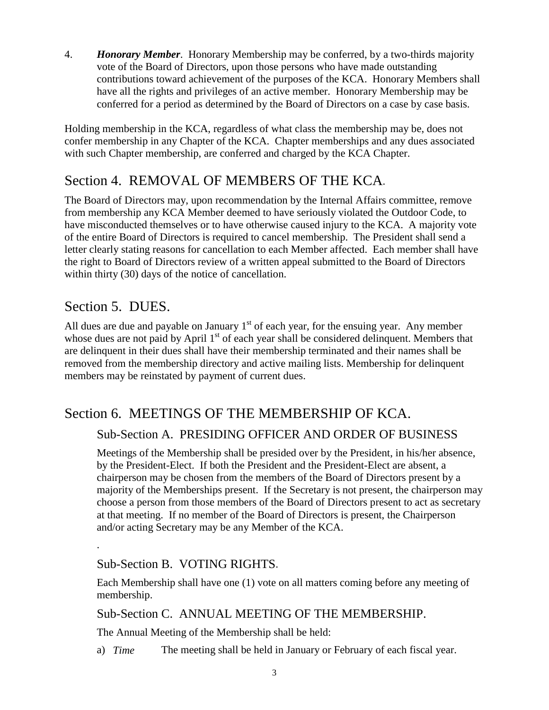4. *Honorary Member*. Honorary Membership may be conferred, by a two-thirds majority vote of the Board of Directors, upon those persons who have made outstanding contributions toward achievement of the purposes of the KCA. Honorary Members shall have all the rights and privileges of an active member. Honorary Membership may be conferred for a period as determined by the Board of Directors on a case by case basis.

Holding membership in the KCA, regardless of what class the membership may be, does not confer membership in any Chapter of the KCA. Chapter memberships and any dues associated with such Chapter membership, are conferred and charged by the KCA Chapter.

## Section 4. REMOVAL OF MEMBERS OF THE KCA.

The Board of Directors may, upon recommendation by the Internal Affairs committee, remove from membership any KCA Member deemed to have seriously violated the Outdoor Code, to have misconducted themselves or to have otherwise caused injury to the KCA. A majority vote of the entire Board of Directors is required to cancel membership. The President shall send a letter clearly stating reasons for cancellation to each Member affected. Each member shall have the right to Board of Directors review of a written appeal submitted to the Board of Directors within thirty (30) days of the notice of cancellation.

## Section 5. DUES.

.

All dues are due and payable on January  $1<sup>st</sup>$  of each year, for the ensuing year. Any member whose dues are not paid by April  $1<sup>st</sup>$  of each year shall be considered delinquent. Members that are delinquent in their dues shall have their membership terminated and their names shall be removed from the membership directory and active mailing lists. Membership for delinquent members may be reinstated by payment of current dues.

### Section 6. MEETINGS OF THE MEMBERSHIP OF KCA.

#### Sub-Section A. PRESIDING OFFICER AND ORDER OF BUSINESS

Meetings of the Membership shall be presided over by the President, in his/her absence, by the President-Elect. If both the President and the President-Elect are absent, a chairperson may be chosen from the members of the Board of Directors present by a majority of the Memberships present. If the Secretary is not present, the chairperson may choose a person from those members of the Board of Directors present to act as secretary at that meeting. If no member of the Board of Directors is present, the Chairperson and/or acting Secretary may be any Member of the KCA.

#### Sub-Section B. VOTING RIGHTS.

Each Membership shall have one (1) vote on all matters coming before any meeting of membership.

Sub-Section C. ANNUAL MEETING OF THE MEMBERSHIP.

The Annual Meeting of the Membership shall be held:

a) *Time* The meeting shall be held in January or February of each fiscal year.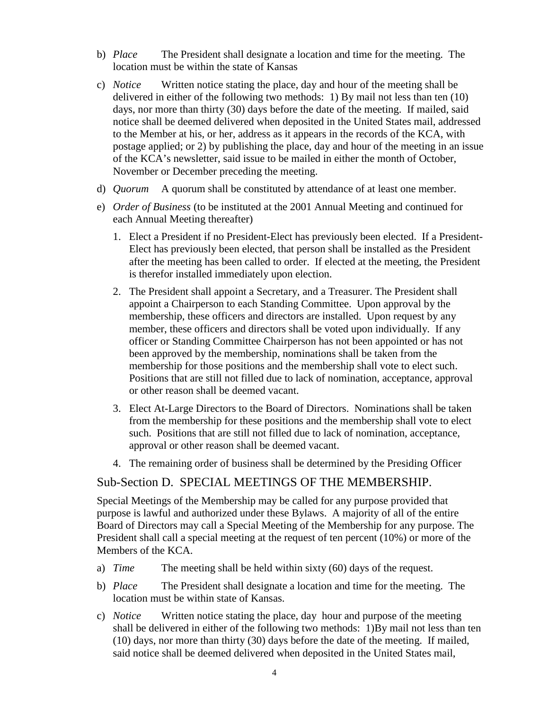- b) *Place* The President shall designate a location and time for the meeting. The location must be within the state of Kansas
- c) *Notice* Written notice stating the place, day and hour of the meeting shall be delivered in either of the following two methods: 1) By mail not less than ten (10) days, nor more than thirty (30) days before the date of the meeting. If mailed, said notice shall be deemed delivered when deposited in the United States mail, addressed to the Member at his, or her, address as it appears in the records of the KCA, with postage applied; or 2) by publishing the place, day and hour of the meeting in an issue of the KCA's newsletter, said issue to be mailed in either the month of October, November or December preceding the meeting.
- d) *Quorum* A quorum shall be constituted by attendance of at least one member.
- e) *Order of Business* (to be instituted at the 2001 Annual Meeting and continued for each Annual Meeting thereafter)
	- 1. Elect a President if no President-Elect has previously been elected. If a President-Elect has previously been elected, that person shall be installed as the President after the meeting has been called to order. If elected at the meeting, the President is therefor installed immediately upon election.
	- 2. The President shall appoint a Secretary, and a Treasurer. The President shall appoint a Chairperson to each Standing Committee. Upon approval by the membership, these officers and directors are installed. Upon request by any member, these officers and directors shall be voted upon individually. If any officer or Standing Committee Chairperson has not been appointed or has not been approved by the membership, nominations shall be taken from the membership for those positions and the membership shall vote to elect such. Positions that are still not filled due to lack of nomination, acceptance, approval or other reason shall be deemed vacant.
	- 3. Elect At-Large Directors to the Board of Directors. Nominations shall be taken from the membership for these positions and the membership shall vote to elect such. Positions that are still not filled due to lack of nomination, acceptance, approval or other reason shall be deemed vacant.
	- 4. The remaining order of business shall be determined by the Presiding Officer

#### Sub-Section D. SPECIAL MEETINGS OF THE MEMBERSHIP.

Special Meetings of the Membership may be called for any purpose provided that purpose is lawful and authorized under these Bylaws. A majority of all of the entire Board of Directors may call a Special Meeting of the Membership for any purpose. The President shall call a special meeting at the request of ten percent (10%) or more of the Members of the KCA.

- a) *Time* The meeting shall be held within sixty (60) days of the request.
- b) *Place* The President shall designate a location and time for the meeting. The location must be within state of Kansas.
- c) *Notice* Written notice stating the place, day hour and purpose of the meeting shall be delivered in either of the following two methods: 1)By mail not less than ten (10) days, nor more than thirty (30) days before the date of the meeting. If mailed, said notice shall be deemed delivered when deposited in the United States mail,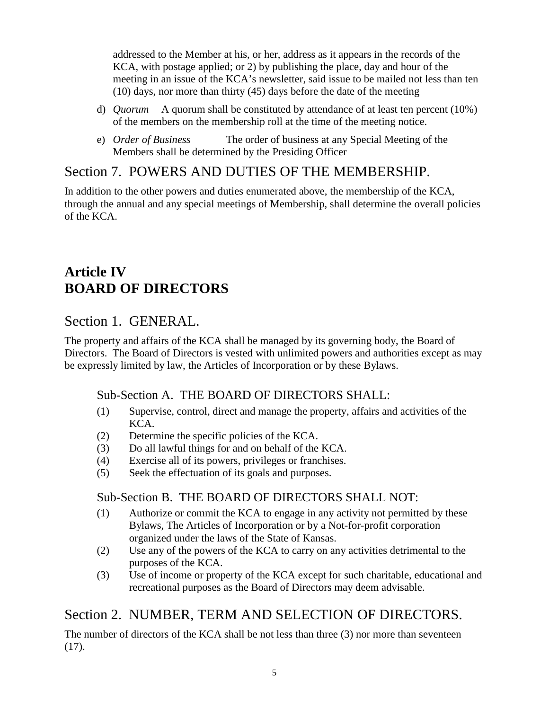addressed to the Member at his, or her, address as it appears in the records of the KCA, with postage applied; or 2) by publishing the place, day and hour of the meeting in an issue of the KCA's newsletter, said issue to be mailed not less than ten (10) days, nor more than thirty (45) days before the date of the meeting

- d) *Quorum* A quorum shall be constituted by attendance of at least ten percent (10%) of the members on the membership roll at the time of the meeting notice.
- e) *Order of Business* The order of business at any Special Meeting of the Members shall be determined by the Presiding Officer

### Section 7. POWERS AND DUTIES OF THE MEMBERSHIP.

In addition to the other powers and duties enumerated above, the membership of the KCA, through the annual and any special meetings of Membership, shall determine the overall policies of the KCA.

## **Article IV BOARD OF DIRECTORS**

## Section 1. GENERAL.

The property and affairs of the KCA shall be managed by its governing body, the Board of Directors. The Board of Directors is vested with unlimited powers and authorities except as may be expressly limited by law, the Articles of Incorporation or by these Bylaws.

#### Sub-Section A. THE BOARD OF DIRECTORS SHALL:

- (1) Supervise, control, direct and manage the property, affairs and activities of the KCA.
- (2) Determine the specific policies of the KCA.
- (3) Do all lawful things for and on behalf of the KCA.
- (4) Exercise all of its powers, privileges or franchises.
- (5) Seek the effectuation of its goals and purposes.

#### Sub-Section B. THE BOARD OF DIRECTORS SHALL NOT:

- (1) Authorize or commit the KCA to engage in any activity not permitted by these Bylaws, The Articles of Incorporation or by a Not-for-profit corporation organized under the laws of the State of Kansas.
- (2) Use any of the powers of the KCA to carry on any activities detrimental to the purposes of the KCA.
- (3) Use of income or property of the KCA except for such charitable, educational and recreational purposes as the Board of Directors may deem advisable.

## Section 2. NUMBER, TERM AND SELECTION OF DIRECTORS.

The number of directors of the KCA shall be not less than three (3) nor more than seventeen (17).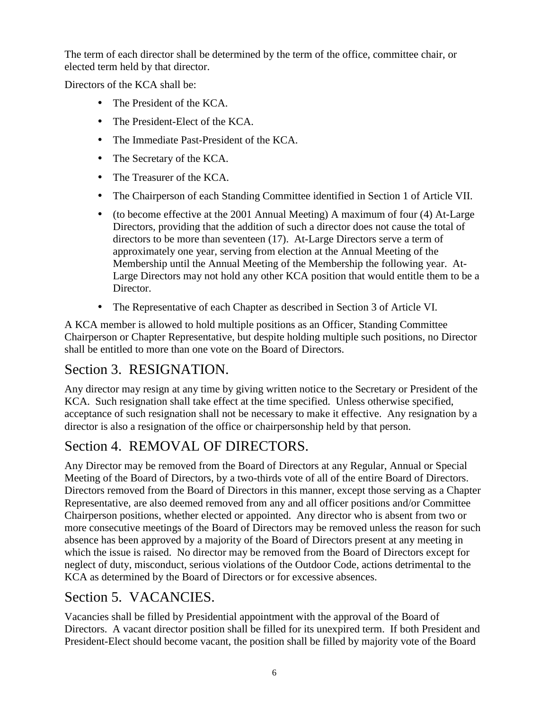The term of each director shall be determined by the term of the office, committee chair, or elected term held by that director.

Directors of the KCA shall be:

- The President of the KCA.
- The President-Elect of the KCA.
- The Immediate Past-President of the KCA.
- The Secretary of the KCA.
- The Treasurer of the KCA.
- The Chairperson of each Standing Committee identified in Section 1 of Article VII.
- (to become effective at the 2001 Annual Meeting) A maximum of four (4) At-Large Directors, providing that the addition of such a director does not cause the total of directors to be more than seventeen (17). At-Large Directors serve a term of approximately one year, serving from election at the Annual Meeting of the Membership until the Annual Meeting of the Membership the following year. At-Large Directors may not hold any other KCA position that would entitle them to be a Director.
- The Representative of each Chapter as described in Section 3 of Article VI.

A KCA member is allowed to hold multiple positions as an Officer, Standing Committee Chairperson or Chapter Representative, but despite holding multiple such positions, no Director shall be entitled to more than one vote on the Board of Directors.

## Section 3. RESIGNATION.

Any director may resign at any time by giving written notice to the Secretary or President of the KCA. Such resignation shall take effect at the time specified. Unless otherwise specified, acceptance of such resignation shall not be necessary to make it effective. Any resignation by a director is also a resignation of the office or chairpersonship held by that person.

## Section 4. REMOVAL OF DIRECTORS.

Any Director may be removed from the Board of Directors at any Regular, Annual or Special Meeting of the Board of Directors, by a two-thirds vote of all of the entire Board of Directors. Directors removed from the Board of Directors in this manner, except those serving as a Chapter Representative, are also deemed removed from any and all officer positions and/or Committee Chairperson positions, whether elected or appointed. Any director who is absent from two or more consecutive meetings of the Board of Directors may be removed unless the reason for such absence has been approved by a majority of the Board of Directors present at any meeting in which the issue is raised. No director may be removed from the Board of Directors except for neglect of duty, misconduct, serious violations of the Outdoor Code, actions detrimental to the KCA as determined by the Board of Directors or for excessive absences.

## Section 5. VACANCIES.

Vacancies shall be filled by Presidential appointment with the approval of the Board of Directors. A vacant director position shall be filled for its unexpired term. If both President and President-Elect should become vacant, the position shall be filled by majority vote of the Board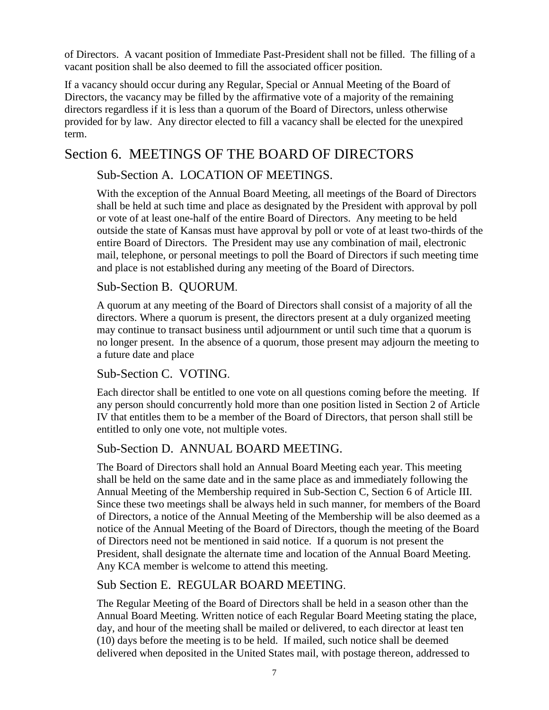of Directors. A vacant position of Immediate Past-President shall not be filled. The filling of a vacant position shall be also deemed to fill the associated officer position.

If a vacancy should occur during any Regular, Special or Annual Meeting of the Board of Directors, the vacancy may be filled by the affirmative vote of a majority of the remaining directors regardless if it is less than a quorum of the Board of Directors, unless otherwise provided for by law. Any director elected to fill a vacancy shall be elected for the unexpired term.

## Section 6. MEETINGS OF THE BOARD OF DIRECTORS

#### Sub-Section A. LOCATION OF MEETINGS.

With the exception of the Annual Board Meeting, all meetings of the Board of Directors shall be held at such time and place as designated by the President with approval by poll or vote of at least one-half of the entire Board of Directors. Any meeting to be held outside the state of Kansas must have approval by poll or vote of at least two-thirds of the entire Board of Directors. The President may use any combination of mail, electronic mail, telephone, or personal meetings to poll the Board of Directors if such meeting time and place is not established during any meeting of the Board of Directors.

#### Sub-Section B. QUORUM.

A quorum at any meeting of the Board of Directors shall consist of a majority of all the directors. Where a quorum is present, the directors present at a duly organized meeting may continue to transact business until adjournment or until such time that a quorum is no longer present. In the absence of a quorum, those present may adjourn the meeting to a future date and place

#### Sub-Section C. VOTING.

Each director shall be entitled to one vote on all questions coming before the meeting. If any person should concurrently hold more than one position listed in Section 2 of Article IV that entitles them to be a member of the Board of Directors, that person shall still be entitled to only one vote, not multiple votes.

#### Sub-Section D. ANNUAL BOARD MEETING.

The Board of Directors shall hold an Annual Board Meeting each year. This meeting shall be held on the same date and in the same place as and immediately following the Annual Meeting of the Membership required in Sub-Section C, Section 6 of Article III. Since these two meetings shall be always held in such manner, for members of the Board of Directors, a notice of the Annual Meeting of the Membership will be also deemed as a notice of the Annual Meeting of the Board of Directors, though the meeting of the Board of Directors need not be mentioned in said notice. If a quorum is not present the President, shall designate the alternate time and location of the Annual Board Meeting. Any KCA member is welcome to attend this meeting.

#### Sub Section E. REGULAR BOARD MEETING.

The Regular Meeting of the Board of Directors shall be held in a season other than the Annual Board Meeting. Written notice of each Regular Board Meeting stating the place, day, and hour of the meeting shall be mailed or delivered, to each director at least ten (10) days before the meeting is to be held. If mailed, such notice shall be deemed delivered when deposited in the United States mail, with postage thereon, addressed to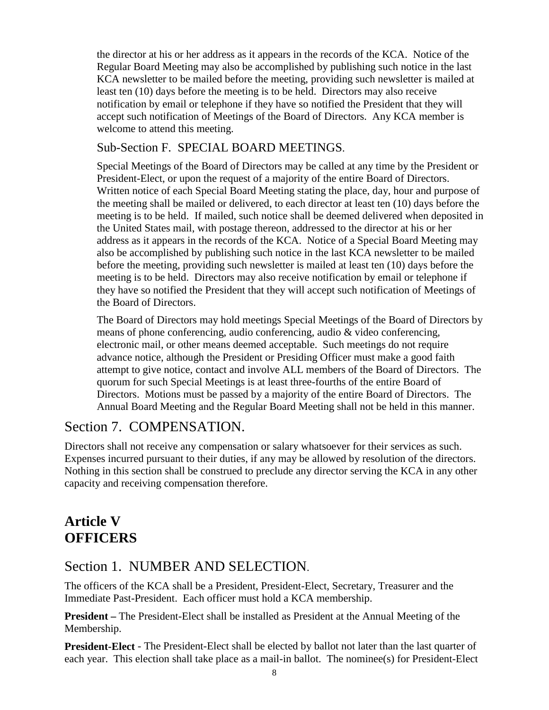the director at his or her address as it appears in the records of the KCA. Notice of the Regular Board Meeting may also be accomplished by publishing such notice in the last KCA newsletter to be mailed before the meeting, providing such newsletter is mailed at least ten (10) days before the meeting is to be held. Directors may also receive notification by email or telephone if they have so notified the President that they will accept such notification of Meetings of the Board of Directors. Any KCA member is welcome to attend this meeting.

#### Sub-Section F. SPECIAL BOARD MEETINGS.

Special Meetings of the Board of Directors may be called at any time by the President or President-Elect, or upon the request of a majority of the entire Board of Directors. Written notice of each Special Board Meeting stating the place, day, hour and purpose of the meeting shall be mailed or delivered, to each director at least ten (10) days before the meeting is to be held. If mailed, such notice shall be deemed delivered when deposited in the United States mail, with postage thereon, addressed to the director at his or her address as it appears in the records of the KCA. Notice of a Special Board Meeting may also be accomplished by publishing such notice in the last KCA newsletter to be mailed before the meeting, providing such newsletter is mailed at least ten (10) days before the meeting is to be held. Directors may also receive notification by email or telephone if they have so notified the President that they will accept such notification of Meetings of the Board of Directors.

The Board of Directors may hold meetings Special Meetings of the Board of Directors by means of phone conferencing, audio conferencing, audio & video conferencing, electronic mail, or other means deemed acceptable. Such meetings do not require advance notice, although the President or Presiding Officer must make a good faith attempt to give notice, contact and involve ALL members of the Board of Directors. The quorum for such Special Meetings is at least three-fourths of the entire Board of Directors. Motions must be passed by a majority of the entire Board of Directors. The Annual Board Meeting and the Regular Board Meeting shall not be held in this manner.

### Section 7. COMPENSATION.

Directors shall not receive any compensation or salary whatsoever for their services as such. Expenses incurred pursuant to their duties, if any may be allowed by resolution of the directors. Nothing in this section shall be construed to preclude any director serving the KCA in any other capacity and receiving compensation therefore.

## **Article V OFFICERS**

### Section 1. NUMBER AND SELECTION.

The officers of the KCA shall be a President, President-Elect, Secretary, Treasurer and the Immediate Past-President. Each officer must hold a KCA membership.

**President –** The President-Elect shall be installed as President at the Annual Meeting of the Membership.

**President-Elect** - The President-Elect shall be elected by ballot not later than the last quarter of each year. This election shall take place as a mail-in ballot. The nominee(s) for President-Elect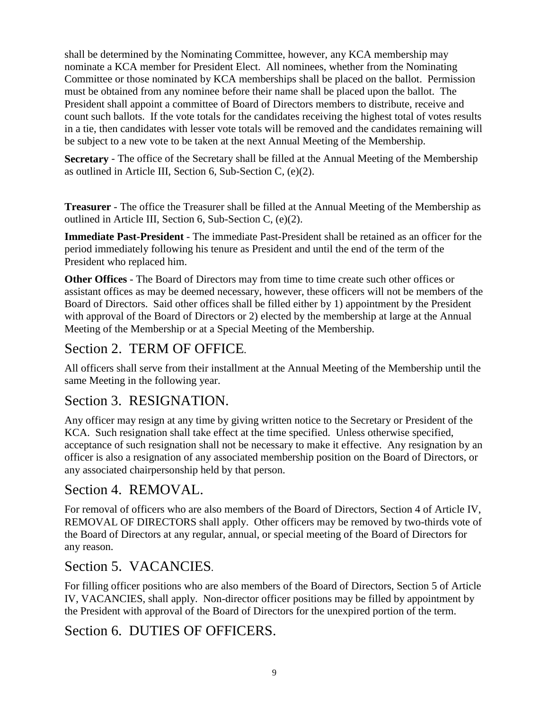shall be determined by the Nominating Committee, however, any KCA membership may nominate a KCA member for President Elect. All nominees, whether from the Nominating Committee or those nominated by KCA memberships shall be placed on the ballot. Permission must be obtained from any nominee before their name shall be placed upon the ballot. The President shall appoint a committee of Board of Directors members to distribute, receive and count such ballots. If the vote totals for the candidates receiving the highest total of votes results in a tie, then candidates with lesser vote totals will be removed and the candidates remaining will be subject to a new vote to be taken at the next Annual Meeting of the Membership.

**Secretary** - The office of the Secretary shall be filled at the Annual Meeting of the Membership as outlined in Article III, Section 6, Sub-Section C, (e)(2).

**Treasurer** - The office the Treasurer shall be filled at the Annual Meeting of the Membership as outlined in Article III, Section 6, Sub-Section C, (e)(2).

**Immediate Past-President** - The immediate Past-President shall be retained as an officer for the period immediately following his tenure as President and until the end of the term of the President who replaced him.

**Other Offices** - The Board of Directors may from time to time create such other offices or assistant offices as may be deemed necessary, however, these officers will not be members of the Board of Directors. Said other offices shall be filled either by 1) appointment by the President with approval of the Board of Directors or 2) elected by the membership at large at the Annual Meeting of the Membership or at a Special Meeting of the Membership.

## Section 2. TERM OF OFFICE.

All officers shall serve from their installment at the Annual Meeting of the Membership until the same Meeting in the following year.

## Section 3. RESIGNATION.

Any officer may resign at any time by giving written notice to the Secretary or President of the KCA. Such resignation shall take effect at the time specified. Unless otherwise specified, acceptance of such resignation shall not be necessary to make it effective. Any resignation by an officer is also a resignation of any associated membership position on the Board of Directors, or any associated chairpersonship held by that person.

## Section 4. REMOVAL.

For removal of officers who are also members of the Board of Directors, Section 4 of Article IV, REMOVAL OF DIRECTORS shall apply. Other officers may be removed by two-thirds vote of the Board of Directors at any regular, annual, or special meeting of the Board of Directors for any reason.

### Section 5. VACANCIES.

For filling officer positions who are also members of the Board of Directors, Section 5 of Article IV, VACANCIES, shall apply. Non-director officer positions may be filled by appointment by the President with approval of the Board of Directors for the unexpired portion of the term.

### Section 6. DUTIES OF OFFICERS.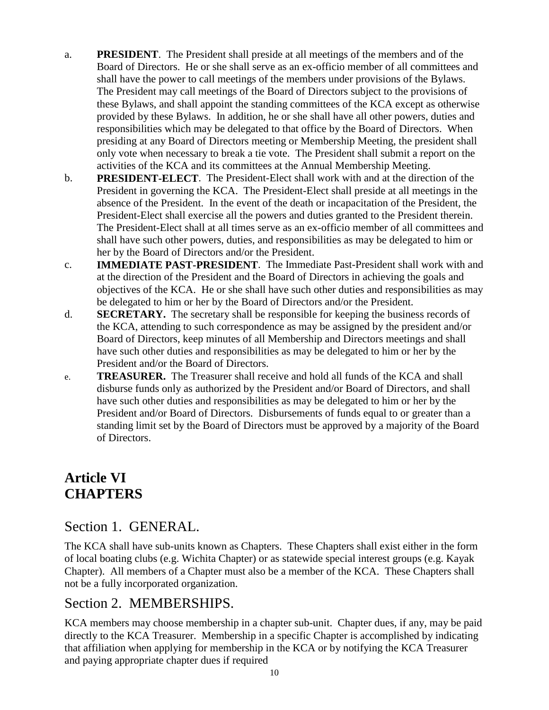- a. **PRESIDENT**. The President shall preside at all meetings of the members and of the Board of Directors. He or she shall serve as an ex-officio member of all committees and shall have the power to call meetings of the members under provisions of the Bylaws. The President may call meetings of the Board of Directors subject to the provisions of these Bylaws, and shall appoint the standing committees of the KCA except as otherwise provided by these Bylaws. In addition, he or she shall have all other powers, duties and responsibilities which may be delegated to that office by the Board of Directors. When presiding at any Board of Directors meeting or Membership Meeting, the president shall only vote when necessary to break a tie vote. The President shall submit a report on the activities of the KCA and its committees at the Annual Membership Meeting.
- b. **PRESIDENT-ELECT**. The President-Elect shall work with and at the direction of the President in governing the KCA. The President-Elect shall preside at all meetings in the absence of the President. In the event of the death or incapacitation of the President, the President-Elect shall exercise all the powers and duties granted to the President therein. The President-Elect shall at all times serve as an ex-officio member of all committees and shall have such other powers, duties, and responsibilities as may be delegated to him or her by the Board of Directors and/or the President.
- c. **IMMEDIATE PAST-PRESIDENT**. The Immediate Past-President shall work with and at the direction of the President and the Board of Directors in achieving the goals and objectives of the KCA. He or she shall have such other duties and responsibilities as may be delegated to him or her by the Board of Directors and/or the President.
- d. **SECRETARY.** The secretary shall be responsible for keeping the business records of the KCA, attending to such correspondence as may be assigned by the president and/or Board of Directors, keep minutes of all Membership and Directors meetings and shall have such other duties and responsibilities as may be delegated to him or her by the President and/or the Board of Directors.
- e. **TREASURER.** The Treasurer shall receive and hold all funds of the KCA and shall disburse funds only as authorized by the President and/or Board of Directors, and shall have such other duties and responsibilities as may be delegated to him or her by the President and/or Board of Directors. Disbursements of funds equal to or greater than a standing limit set by the Board of Directors must be approved by a majority of the Board of Directors.

## **Article VI CHAPTERS**

### Section 1. GENERAL.

The KCA shall have sub-units known as Chapters. These Chapters shall exist either in the form of local boating clubs (e.g. Wichita Chapter) or as statewide special interest groups (e.g. Kayak Chapter). All members of a Chapter must also be a member of the KCA. These Chapters shall not be a fully incorporated organization.

### Section 2. MEMBERSHIPS.

KCA members may choose membership in a chapter sub-unit. Chapter dues, if any, may be paid directly to the KCA Treasurer. Membership in a specific Chapter is accomplished by indicating that affiliation when applying for membership in the KCA or by notifying the KCA Treasurer and paying appropriate chapter dues if required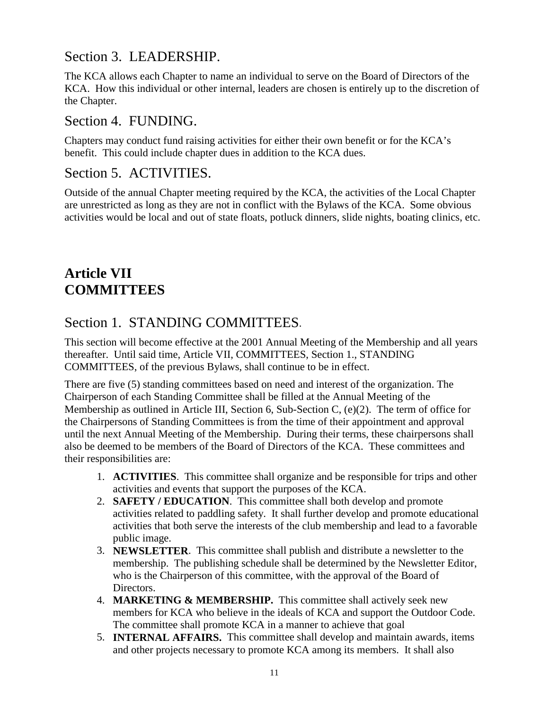### Section 3. LEADERSHIP.

The KCA allows each Chapter to name an individual to serve on the Board of Directors of the KCA. How this individual or other internal, leaders are chosen is entirely up to the discretion of the Chapter.

#### Section 4. FUNDING.

Chapters may conduct fund raising activities for either their own benefit or for the KCA's benefit. This could include chapter dues in addition to the KCA dues.

#### Section 5. ACTIVITIES.

Outside of the annual Chapter meeting required by the KCA, the activities of the Local Chapter are unrestricted as long as they are not in conflict with the Bylaws of the KCA. Some obvious activities would be local and out of state floats, potluck dinners, slide nights, boating clinics, etc.

# **Article VII COMMITTEES**

## Section 1. STANDING COMMITTEES.

This section will become effective at the 2001 Annual Meeting of the Membership and all years thereafter. Until said time, Article VII, COMMITTEES, Section 1., STANDING COMMITTEES, of the previous Bylaws, shall continue to be in effect.

There are five (5) standing committees based on need and interest of the organization. The Chairperson of each Standing Committee shall be filled at the Annual Meeting of the Membership as outlined in Article III, Section 6, Sub-Section C, (e)(2). The term of office for the Chairpersons of Standing Committees is from the time of their appointment and approval until the next Annual Meeting of the Membership. During their terms, these chairpersons shall also be deemed to be members of the Board of Directors of the KCA. These committees and their responsibilities are:

- 1. **ACTIVITIES**. This committee shall organize and be responsible for trips and other activities and events that support the purposes of the KCA.
- 2. **SAFETY / EDUCATION**. This committee shall both develop and promote activities related to paddling safety. It shall further develop and promote educational activities that both serve the interests of the club membership and lead to a favorable public image.
- 3. **NEWSLETTER**. This committee shall publish and distribute a newsletter to the membership. The publishing schedule shall be determined by the Newsletter Editor, who is the Chairperson of this committee, with the approval of the Board of Directors.
- 4. **MARKETING & MEMBERSHIP.** This committee shall actively seek new members for KCA who believe in the ideals of KCA and support the Outdoor Code. The committee shall promote KCA in a manner to achieve that goal
- 5. **INTERNAL AFFAIRS.** This committee shall develop and maintain awards, items and other projects necessary to promote KCA among its members. It shall also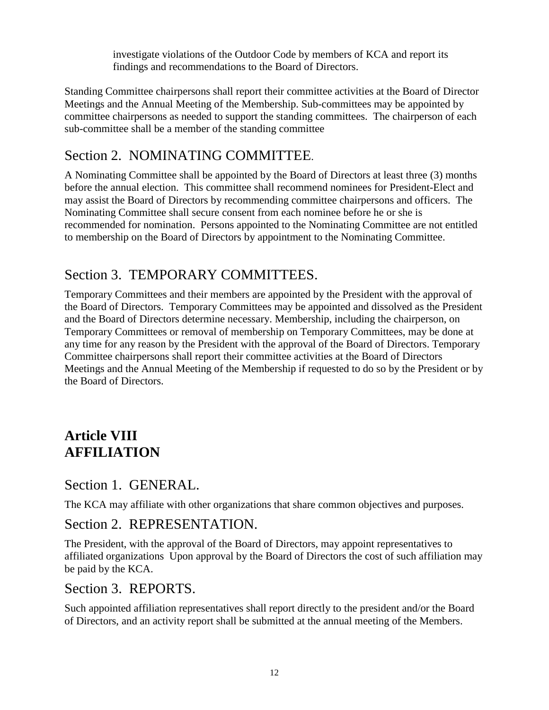investigate violations of the Outdoor Code by members of KCA and report its findings and recommendations to the Board of Directors.

Standing Committee chairpersons shall report their committee activities at the Board of Director Meetings and the Annual Meeting of the Membership. Sub-committees may be appointed by committee chairpersons as needed to support the standing committees. The chairperson of each sub-committee shall be a member of the standing committee

## Section 2. NOMINATING COMMITTEE.

A Nominating Committee shall be appointed by the Board of Directors at least three (3) months before the annual election. This committee shall recommend nominees for President-Elect and may assist the Board of Directors by recommending committee chairpersons and officers. The Nominating Committee shall secure consent from each nominee before he or she is recommended for nomination. Persons appointed to the Nominating Committee are not entitled to membership on the Board of Directors by appointment to the Nominating Committee.

## Section 3. TEMPORARY COMMITTEES.

Temporary Committees and their members are appointed by the President with the approval of the Board of Directors. Temporary Committees may be appointed and dissolved as the President and the Board of Directors determine necessary. Membership, including the chairperson, on Temporary Committees or removal of membership on Temporary Committees, may be done at any time for any reason by the President with the approval of the Board of Directors. Temporary Committee chairpersons shall report their committee activities at the Board of Directors Meetings and the Annual Meeting of the Membership if requested to do so by the President or by the Board of Directors.

## **Article VIII AFFILIATION**

#### Section 1. GENERAL.

The KCA may affiliate with other organizations that share common objectives and purposes.

#### Section 2. REPRESENTATION.

The President, with the approval of the Board of Directors, may appoint representatives to affiliated organizations Upon approval by the Board of Directors the cost of such affiliation may be paid by the KCA.

#### Section 3. REPORTS.

Such appointed affiliation representatives shall report directly to the president and/or the Board of Directors, and an activity report shall be submitted at the annual meeting of the Members.